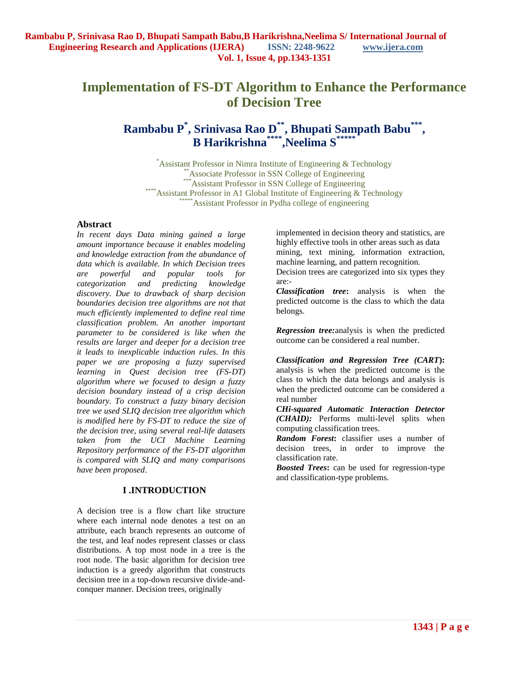# **Implementation of FS-DT Algorithm to Enhance the Performance of Decision Tree**

## **Rambabu P\* , Srinivasa Rao D\*\*, Bhupati Sampath Babu\*\*\* , B Harikrishna\*\*\*\*,Neelima S\*\*\*\*\***

\*Assistant Professor in Nimra Institute of Engineering & Technology \*\*Associate Professor in SSN College of Engineering \*\*\*Assistant Professor in SSN College of Engineering \*\*\*\*\*Assistant Professor in A1 Global Institute of Engineering & Technology Assistant Professor in Pydha college of engineering

## **Abstract**

*In recent days Data mining gained a large amount importance because it enables modeling and knowledge extraction from the abundance of data which is available. In which Decision trees are powerful and popular tools for categorization and predicting knowledge discovery. Due to drawback of sharp decision boundaries decision tree algorithms are not that much efficiently implemented to define real time classification problem. An another important parameter to be considered is like when the results are larger and deeper for a decision tree it leads to inexplicable induction rules. In this paper we are proposing a fuzzy supervised learning in Quest decision tree (FS-DT) algorithm where we focused to design a fuzzy decision boundary instead of a crisp decision boundary. To construct a fuzzy binary decision tree we used SLIQ decision tree algorithm which is modified here by FS-DT to reduce the size of the decision tree, using several real-life datasets taken from the UCI Machine Learning Repository performance of the FS-DT algorithm is compared with SLIQ and many comparisons have been proposed*.

## **I .INTRODUCTION**

A decision tree is a flow chart like structure where each internal node denotes a test on an attribute, each branch represents an outcome of the test, and leaf nodes represent classes or class distributions. A top most node in a tree is the root node. The basic algorithm for decision tree induction is a greedy algorithm that constructs decision tree in a top-down recursive divide-andconquer manner. Decision trees, originally

implemented in decision theory and statistics, are highly effective tools in other areas such as data mining, text mining, information extraction, machine learning, and pattern recognition.

Decision trees are categorized into six types they are:-

*Classification tree***:** analysis is when the predicted outcome is the class to which the data belongs.

*Regression tree:*analysis is when the predicted outcome can be considered a real number.

*Classification and Regression Tree (CART***):**  analysis is when the predicted outcome is the class to which the data belongs and analysis is when the predicted outcome can be considered a real number

*CHi-squared Automatic Interaction Detector (CHAID):* Performs multi-level splits when computing classification trees.

*Random Forest***:** classifier uses a number of decision trees, in order to improve the classification rate.

*Boosted Trees***:** can be used for regression-type and classification-type problems.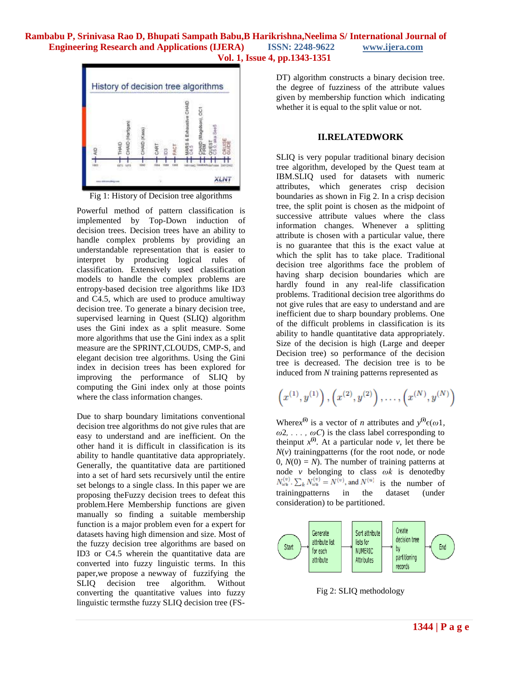

Fig 1: History of Decision tree algorithms

Powerful method of pattern classification is implemented by Top-Down induction of decision trees. Decision trees have an ability to handle complex problems by providing an understandable representation that is easier to interpret by producing logical rules of classification. Extensively used classification models to handle the complex problems are entropy-based decision tree algorithms like ID3 and C4.5, which are used to produce amultiway decision tree. To generate a binary decision tree, supervised learning in Quest (SLIQ) algorithm uses the Gini index as a split measure. Some more algorithms that use the Gini index as a split measure are the SPRINT,CLOUDS, CMP-S, and elegant decision tree algorithms. Using the Gini index in decision trees has been explored for improving the performance of SLIQ by computing the Gini index only at those points where the class information changes.

Due to sharp boundary limitations conventional decision tree algorithms do not give rules that are easy to understand and are inefficient. On the other hand it is difficult in classification is its ability to handle quantitative data appropriately. Generally, the quantitative data are partitioned into a set of hard sets recursively until the entire set belongs to a single class. In this paper we are proposing theFuzzy decision trees to defeat this problem.Here Membership functions are given manually so finding a suitable membership function is a major problem even for a expert for datasets having high dimension and size. Most of the fuzzy decision tree algorithms are based on ID3 or C4.5 wherein the quantitative data are converted into fuzzy linguistic terms. In this paper,we propose a newway of fuzzifying the SLIQ decision tree algorithm. Without converting the quantitative values into fuzzy linguistic termsthe fuzzy SLIQ decision tree (FS-

DT) algorithm constructs a binary decision tree. the degree of fuzziness of the attribute values given by membership function which indicating whether it is equal to the split value or not.

#### **II.RELATEDWORK**

SLIQ is very popular traditional binary decision tree algorithm, developed by the Quest team at IBM.SLIQ used for datasets with numeric attributes, which generates crisp decision boundaries as shown in Fig 2. In a crisp decision tree, the split point is chosen as the midpoint of successive attribute values where the class information changes. Whenever a splitting attribute is chosen with a particular value, there is no guarantee that this is the exact value at which the split has to take place. Traditional decision tree algorithms face the problem of having sharp decision boundaries which are hardly found in any real-life classification problems. Traditional decision tree algorithms do not give rules that are easy to understand and are inefficient due to sharp boundary problems. One of the difficult problems in classification is its ability to handle quantitative data appropriately. Size of the decision is high (Large and deeper Decision tree) so performance of the decision tree is decreased. The decision tree is to be induced from *N* training patterns represented as

$$
\left(x^{(1)},y^{(1)}\right),\left(x^{(2)},y^{(2)}\right),\ldots,\left(x^{(N)},y^{(N)}\right)
$$

Where*x*<sup>(i)</sup> is a vector of *n* attributes and  $y^{(i)}\epsilon(\omega)$ ,  $\omega$ 2, . . . ,  $\omega$ *C*) is the class label corresponding to theinput  $x^{(i)}$ . At a particular node *v*, let there be  $N(v)$  trainingpatterns (for the root node, or node  $0, N(0) = N$ . The number of training patterns at node *v* belonging to class *ωk* is denotedby  $N_{\omega_k}^{(v)}$ .  $\sum_k N_{\omega_k}^{(v)} = N^{(v)}$ , and  $N^{(u)}$  is the number of trainingpatterns in the dataset (under consideration) to be partitioned.



Fig 2: SLIQ methodology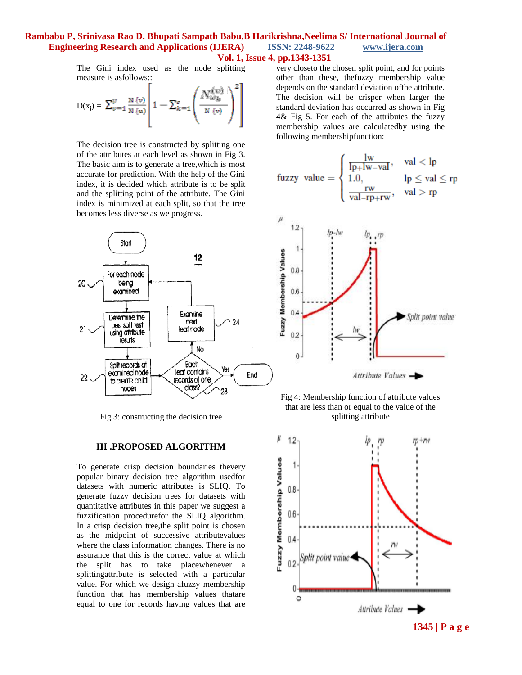The Gini index used as the node splitting measure is asfollows::

$$
D(x_j) = \sum_{v=1}^{V} \frac{N(v)}{N(u)} \left[ 1 - \sum_{k=1}^{c} \left( \frac{N_{\omega_{k}}^{(v)}}{N(v)} \right)^2 \right]
$$

The decision tree is constructed by splitting one of the attributes at each level as shown in Fig 3. The basic aim is to generate a tree,which is most accurate for prediction. With the help of the Gini index, it is decided which attribute is to be split and the splitting point of the attribute. The Gini index is minimized at each split, so that the tree becomes less diverse as we progress.



Fig 3: constructing the decision tree

#### **III .PROPOSED ALGORITHM**

To generate crisp decision boundaries thevery popular binary decision tree algorithm usedfor datasets with numeric attributes is SLIQ. To generate fuzzy decision trees for datasets with quantitative attributes in this paper we suggest a fuzzification procedurefor the SLIQ algorithm. In a crisp decision tree,the split point is chosen as the midpoint of successive attributevalues where the class information changes. There is no assurance that this is the correct value at which the split has to take placewhenever a splittingattribute is selected with a particular value. For which we design afuzzy membership function that has membership values thatare equal to one for records having values that are

very closeto the chosen split point, and for points other than these, thefuzzy membership value depends on the standard deviation ofthe attribute. The decision will be crisper when larger the standard deviation has occurred as shown in Fig 4& Fig 5. For each of the attributes the fuzzy membership values are calculatedby using the following membershipfunction:

$$
\text{fuzzy value} = \begin{cases} \frac{\text{lw}}{\text{lp} + \text{lw} - \text{val}}, & \text{val} < \text{lp} \\ 1.0, & \text{lp} \leq \text{val} \leq \text{rp} \\ \frac{\text{rw}}{\text{val} - \text{rp} + \text{rw}}, & \text{val} > \text{rp} \end{cases}
$$





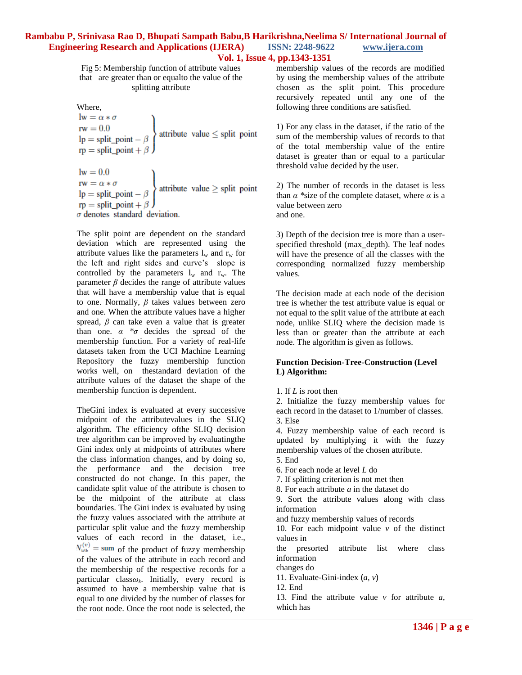Fig 5: Membership function of attribute values that are greater than or equalto the value of the splitting attribute

Where,

 $\mathbf{lw} = \alpha * \sigma$ IW =  $\alpha * \sigma$ <br>
I'm =  $0.0$ <br>
I'm = split\_point -  $\beta$ <br>
I'm = split\_point +  $\beta$ lw = 0.0<br>
rw =  $\alpha * \sigma$ <br>
lp = split\_point -  $\beta$ <br>
rp = split\_point +  $\beta$  $\sigma$  denotes standard deviation.

The split point are dependent on the standard deviation which are represented using the attribute values like the parameters  $l_w$  and  $r_w$  for the left and right sides and curve's slope is controlled by the parameters  $l_w$  and  $r_w$ . The parameter *β* decides the range of attribute values that will have a membership value that is equal to one. Normally, *β* takes values between zero and one. When the attribute values have a higher spread,  $\beta$  can take even a value that is greater than one. *α \*σ* decides the spread of the membership function. For a variety of real-life datasets taken from the UCI Machine Learning Repository the fuzzy membership function works well, on thestandard deviation of the attribute values of the dataset the shape of the membership function is dependent.

TheGini index is evaluated at every successive midpoint of the attributevalues in the SLIQ algorithm. The efficiency ofthe SLIQ decision tree algorithm can be improved by evaluatingthe Gini index only at midpoints of attributes where the class information changes, and by doing so, the performance and the decision tree constructed do not change. In this paper, the candidate split value of the attribute is chosen to be the midpoint of the attribute at class boundaries. The Gini index is evaluated by using the fuzzy values associated with the attribute at particular split value and the fuzzy membership values of each record in the dataset, i.e.,  $N_{\omega_k}^{(v)}$  = sum of the product of fuzzy membership of the values of the attribute in each record and the membership of the respective records for a particular class*ω<sup>k</sup>* . Initially, every record is assumed to have a membership value that is equal to one divided by the number of classes for the root node. Once the root node is selected, the

membership values of the records are modified by using the membership values of the attribute chosen as the split point. This procedure recursively repeated until any one of the following three conditions are satisfied.

1) For any class in the dataset, if the ratio of the sum of the membership values of records to that of the total membership value of the entire dataset is greater than or equal to a particular threshold value decided by the user.

2) The number of records in the dataset is less than  $\alpha$  \*size of the complete dataset, where  $\alpha$  is a value between zero and one.

3) Depth of the decision tree is more than a userspecified threshold (max\_depth). The leaf nodes will have the presence of all the classes with the corresponding normalized fuzzy membership values.

The decision made at each node of the decision tree is whether the test attribute value is equal or not equal to the split value of the attribute at each node, unlike SLIQ where the decision made is less than or greater than the attribute at each node. The algorithm is given as follows.

#### **Function Decision-Tree-Construction (Level L) Algorithm:**

1. If *L* is root then

2. Initialize the fuzzy membership values for each record in the dataset to 1/number of classes. 3. Else

4. Fuzzy membership value of each record is updated by multiplying it with the fuzzy membership values of the chosen attribute.

5. End

6. For each node at level *L* do

7. If splitting criterion is not met then

8. For each attribute *a* in the dataset do

9. Sort the attribute values along with class information

and fuzzy membership values of records

10. For each midpoint value *v* of the distinct values in

the presorted attribute list where class information

changes do

11. Evaluate-Gini-index (*a, v*)

12. End

13. Find the attribute value *v* for attribute *a*, which has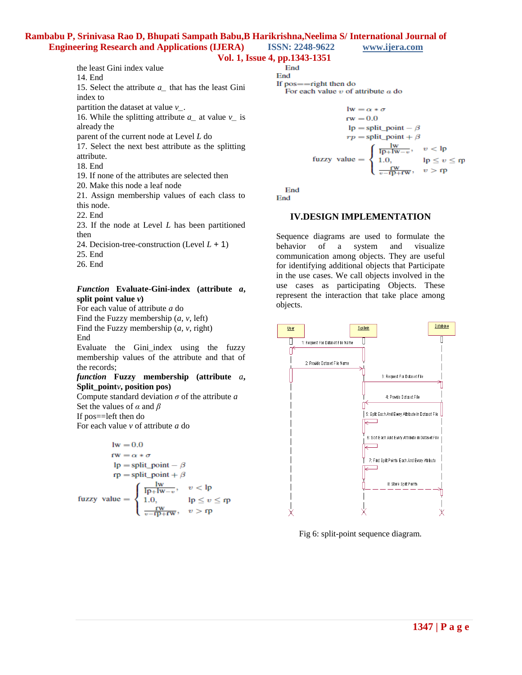## **Vol. 1, Issue 4, pp.1343-1351**

End

14. End

15. Select the attribute *a\_* that has the least Gini index to

partition the dataset at value *v\_*.

the least Gini index value

16. While the splitting attribute  $a_{\text{}}$  at value  $v_{\text{}}$  is already the

parent of the current node at Level *L* do

17. Select the next best attribute as the splitting attribute.

18. End

19. If none of the attributes are selected then

20. Make this node a leaf node

21. Assign membership values of each class to this node.

22. End

23. If the node at Level *L* has been partitioned then

24. Decision-tree-construction (Level *L* + 1)

- 25. End
- 26. End

## *Function* **Evaluate-Gini-index (attribute** *a***, split point value** *v***)**

For each value of attribute *a* do

Find the Fuzzy membership (*a, v*, left)

Find the Fuzzy membership (*a, v*, right) End

Evaluate the Gini\_index using the fuzzy membership values of the attribute and that of the records;

*function* **Fuzzy membership (attribute** *a***, Split\_point***v***, position pos)**

Compute standard deviation *σ* of the attribute *a* Set the values of *α* and *β* If pos==left then do

For each value *v* of attribute *a* do

$$
lw = 0.0
$$
  
\n
$$
rw = \alpha * \sigma
$$
  
\n
$$
lp = split\_point - \beta
$$
  
\n
$$
rp = split\_point + \beta
$$
  
\n
$$
flux = \begin{cases} \frac{lw}{1.0}, & v < lp \\ 1.0, & lp \le v \le rp \\ \frac{rw}{v - rp + rw}, & v > rp \end{cases}
$$

End

If  $pos = -right$  then do For each value  $v$  of attribute  $a$  do

$$
lw = \alpha * \sigma
$$
  
\n
$$
rw = 0.0
$$
  
\n
$$
lp = split\_point - \beta
$$
  
\n
$$
rp = split\_point + \beta
$$
  
\nfuzzy value = 
$$
\begin{cases} \frac{lw}{lp + lw - v}, & v < lp \\ 1.0, & lp \le v \le rp \\ \frac{rw}{v - rp + rw}, & v > rp \end{cases}
$$

End

End

## **IV.DESIGN IMPLEMENTATION**

Sequence diagrams are used to formulate the behavior of a system and visualize communication among objects. They are useful for identifying additional objects that Participate in the use cases. We call objects involved in the use cases as participating Objects. These represent the interaction that take place among objects.



Fig 6: split-point sequence diagram.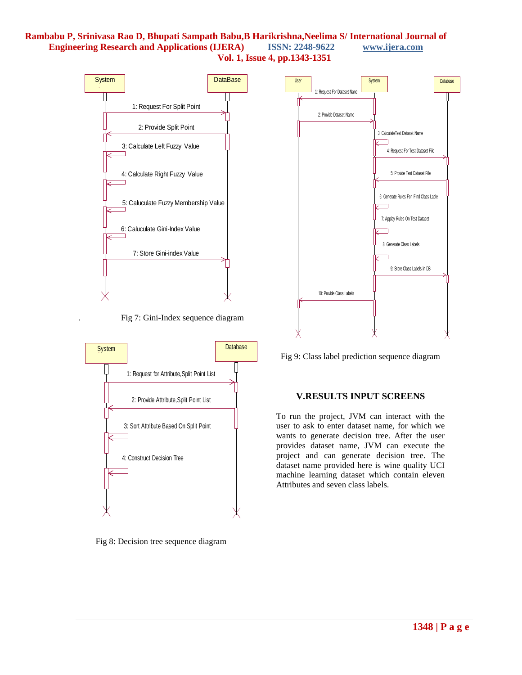



Fig 8: Decision tree sequence diagram



Fig 9: Class label prediction sequence diagram

#### **V.RESULTS INPUT SCREENS**

To run the project, JVM can interact with the user to ask to enter dataset name, for which we wants to generate decision tree. After the user provides dataset name, JVM can execute the project and can generate decision tree. The dataset name provided here is wine quality UCI machine learning dataset which contain eleven Attributes and seven class labels.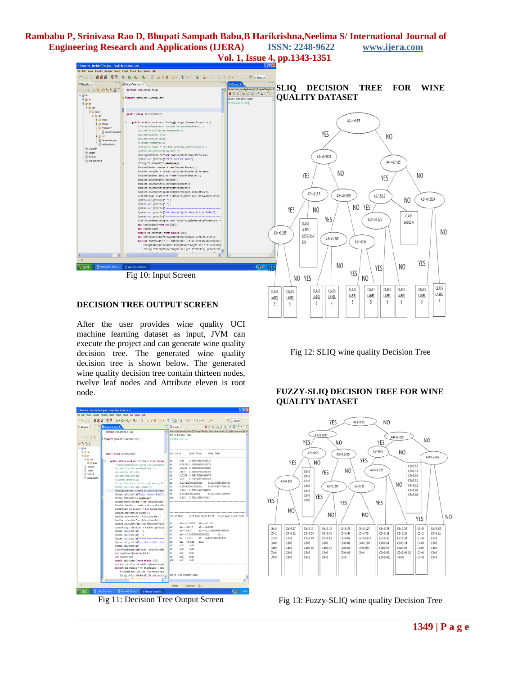

## **DECISION TREE OUTPUT SCREEN**

After the user provides wine quality UCI machine learning dataset as input, JVM can execute the project and can generate wine quality decision tree. The generated wine quality decision tree is shown below. The generated wine quality decision tree contain thirteen nodes, twelve leaf nodes and Attribute eleven is root node.

| E Resource - DocisionTroe, jeva - EasyEclipse Server, Java.<br>File Edit Source Reflactor Navigate Search Protect Tomcat Run Window Help | $-6x$                                                                                                           |
|------------------------------------------------------------------------------------------------------------------------------------------|-----------------------------------------------------------------------------------------------------------------|
| 愛遇場 : 판판 : N · Q · Q ·   Q · : B : G / B : R · : T / H : 이 : G · : 9 · 3 · 이 · 수 · /<br>FT B-Resource<br>$H - 190$                       |                                                                                                                 |
| P<br><b>D</b> DecisionTree.java X<br><b>C. Navigator 35</b>                                                                              | D Console 22<br><b>BXWBBB</b> CC-19-PD                                                                          |
| $\sigma$                                                                                                                                 | A [1] DecisionTree [Java Application] C/Program Files/EasyEdgee Server Java 1.2.2.2(artibin)(avavutoro (Apr 23, |
| mackage con.citan.slic:                                                                                                                  | Enter Dataset Name                                                                                              |
| $\circ \circ \circ \mathsf{R}$                                                                                                           | winequality.txt                                                                                                 |
| S Wimport java.util.ArrayList;                                                                                                           |                                                                                                                 |
| 0.11                                                                                                                                     |                                                                                                                 |
| ⊞ B <sup>i</sup> sko                                                                                                                     |                                                                                                                 |
| 8-Gb bin<br>mublic class DecisionTreet                                                                                                   | Attribute<br>Split Point<br>Gini Index                                                                          |
| <b>B-Gb</b> en                                                                                                                           |                                                                                                                 |
| 8 <sup>0</sup> con<br>public static veid nain String[] arcs] throws                                                                      | 9.55<br>0.6404244319314016<br>n11                                                                               |
| il ill olan<br>/ 'DatasetNameReader dnr=new DatasetNameRe                                                                                | b8<br>0.99258 0.6598094545536974                                                                                |
| T. dasspath<br>dnr.setTitle:"DatasetNameReader");                                                                                        | 17.625 0.6645909756506102<br>a4                                                                                 |
| D arolect<br>dnr.setSize1500.4001;                                                                                                       | a7<br>215.5 0.6690597930365754                                                                                  |
| <b>R</b> deck bt<br>dnr.setVisible(true);                                                                                                | 0.0395 0.6691700693847475<br>n5                                                                                 |
| Il testiense be<br>FileName fosme=null;                                                                                                  | a6<br>56.5 0.6709590949058551                                                                                   |
| String filename = new String (fname.getFil                                                                                               | s2<br>0.23249999999999998<br>0.6715878958411896                                                                 |
| System.out.println(filename); !/                                                                                                         | a3<br>0.2050000000000002<br>0.6778343757684655                                                                  |
| DataInputStress din=new DataInputStress (2)                                                                                              | a9<br>3.245 0.6783214127449253                                                                                  |
| System.out.println!"Enter Dataset Name" :                                                                                                | 8.85000000000001<br>0.6795532662550999<br>a1                                                                    |
| String filenume=din.readLine () ;                                                                                                        | 0.525 0.682228882637183<br>810                                                                                  |
| DatasetReader reader = new DatasetReader                                                                                                 |                                                                                                                 |
| DataSet dataSet = reader.calculateDataSet                                                                                                |                                                                                                                 |
| DataSetHandler handler = new DataSetHandl                                                                                                |                                                                                                                 |
| handler.sortDataSetHdataSetH:                                                                                                            |                                                                                                                 |
| handler.calculateSplitPoints(dataSet);                                                                                                   | Parent Node<br>Left Node-Split Point Right Node-Split Point                                                     |
| handler.calculateFuzzValues(dataSet);                                                                                                    |                                                                                                                 |
| handler.calculateFinalFuzzyMebershipValue                                                                                                | a8 --- >0.99258 a4 --- >17.625<br>811                                                                           |
| List <string> classList = dataSet.getUniqu</string>                                                                                      | $a7 - -2215.5$<br>$a5 \rightarrow 0.0395$<br><b>AR</b>                                                          |
| Svstem.out.println("");                                                                                                                  | A2 --- >0.23240000000000000<br>s4<br>86--- > 56.5                                                               |
| System.out.println("");                                                                                                                  | a7<br>a3 --- >0.20500000000000002<br>mull<br>A5                                                                 |
| System.out.println("-----------                                                                                                          | 89--- > 3.245<br>a1 --- > 8,85000000000001<br>h6<br>$a10---&0.525$                                              |
| System.out.println("Attribute\tSplit Poir                                                                                                | null<br>s2<br>null<br>null                                                                                      |
| System.out.println("----------------------                                                                                               | null<br>A3<br>null                                                                                              |
| List <fuzzynembershipwalues> finalFuzzyNem</fuzzynembershipwalues>                                                                       | sQ<br>null<br>null                                                                                              |
| int treeOrder[] new int[100];<br>int classCount:                                                                                         | null<br>A1<br>null                                                                                              |
|                                                                                                                                          | <b>A10</b><br>null<br>null                                                                                      |
| double splitFoint[] -new double[100];<br>int attributeCount=finalFurryNembershipWe                                                       |                                                                                                                 |
| for (int fuzzyladex = 0; fuzzyladex < fine                                                                                               |                                                                                                                 |
| FuzzvNenbershipWalues fuzzvNenbershir                                                                                                    |                                                                                                                 |
| String s-furryMembershipValues.getAtt                                                                                                    | Enter Test Dataset Name                                                                                         |
|                                                                                                                                          |                                                                                                                 |
|                                                                                                                                          |                                                                                                                 |
| жõ                                                                                                                                       | <b>McCER</b><br>Smart Droent 30:1                                                                               |
| $H$ start<br><b>Ed project find - Mores</b><br><b>El</b> Document2 - Margard<br>Pi Resource - DecisionTr.                                | <b>C成春 125430</b>                                                                                               |

Fig 11: Decision Tree Output Screen

Fig 12: SLIQ wine quality Decision Tree

## **FUZZY-SLIQ DECISION TREE FOR WINE QUALITY DATASET**



Fig 13: Fuzzy-SLIQ wine quality Decision Tree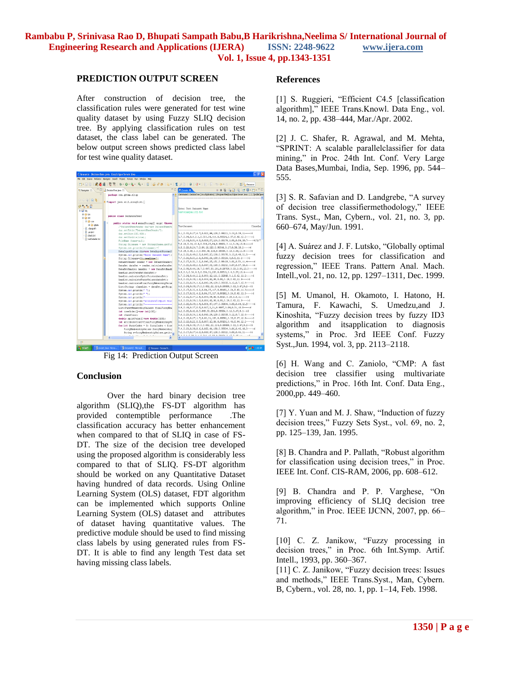#### **PREDICTION OUTPUT SCREEN**

After construction of decision tree, the classification rules were generated for test wine quality dataset by using Fuzzy SLIQ decision tree. By applying classification rules on test dataset, the class label can be generated. The below output screen shows predicted class label for test wine quality dataset.



Fig 14: Prediction Output Screen

#### **Conclusion**

Over the hard binary decision tree algorithm (SLIQ),the FS-DT algorithm has provided contemptible performance .The classification accuracy has better enhancement when compared to that of SLIQ in case of FS-DT. The size of the decision tree developed using the proposed algorithm is considerably less compared to that of SLIQ. FS-DT algorithm should be worked on any Quantitative Dataset having hundred of data records. Using Online Learning System (OLS) dataset, FDT algorithm can be implemented which supports Online Learning System (OLS) dataset and attributes of dataset having quantitative values. The predictive module should be used to find missing class labels by using generated rules from FS-DT. It is able to find any length Test data set having missing class labels.

#### **References**

[1] S. Ruggieri, "Efficient C4.5 [classification] algorithm]," IEEE Trans.Knowl. Data Eng., vol. 14, no. 2, pp. 438–444, Mar./Apr. 2002.

[2] J. C. Shafer, R. Agrawal, and M. Mehta, "SPRINT: A scalable parallelclassifier for data mining," in Proc. 24th Int. Conf. Very Large Data Bases,Mumbai, India, Sep. 1996, pp. 544– 555.

[3] S. R. Safavian and D. Landgrebe, "A survey of decision tree classifiermethodology," IEEE Trans. Syst., Man, Cybern., vol. 21, no. 3, pp. 660–674, May/Jun. 1991.

[4] A. Suárez and J. F. Lutsko, "Globally optimal fuzzy decision trees for classification and regression," IEEE Trans. Pattern Anal. Mach. Intell.,vol. 21, no. 12, pp. 1297–1311, Dec. 1999.

[5] M. Umanol, H. Okamoto, I. Hatono, H. Tamura, F. Kawachi, S. Umedzu,and J. Kinoshita, "Fuzzy decision trees by fuzzy ID3 algorithm and itsapplication to diagnosis systems," in Proc. 3rd IEEE Conf. Fuzzy Syst.,Jun. 1994, vol. 3, pp. 2113–2118.

[6] H. Wang and C. Zaniolo, "CMP: A fast decision tree classifier using multivariate predictions," in Proc. 16th Int. Conf. Data Eng., 2000,pp. 449–460.

[7] Y. Yuan and M. J. Shaw, "Induction of fuzzy decision trees," Fuzzy Sets Syst., vol. 69, no. 2, pp. 125–139, Jan. 1995.

[8] B. Chandra and P. Pallath, "Robust algorithm" for classification using decision trees," in Proc. IEEE Int. Conf. CIS-RAM, 2006, pp. 608–612.

[9] B. Chandra and P. P. Varghese, "On improving efficiency of SLIQ decision tree algorithm," in Proc. IEEE IJCNN, 2007, pp. 66– 71.

[10] C. Z. Janikow, "Fuzzy processing in decision trees," in Proc. 6th Int.Symp. Artif. Intell., 1993, pp. 360–367.

[11] C. Z. Janikow, "Fuzzy decision trees: Issues and methods," IEEE Trans.Syst., Man, Cybern. B, Cybern., vol. 28, no. 1, pp. 1–14, Feb. 1998.